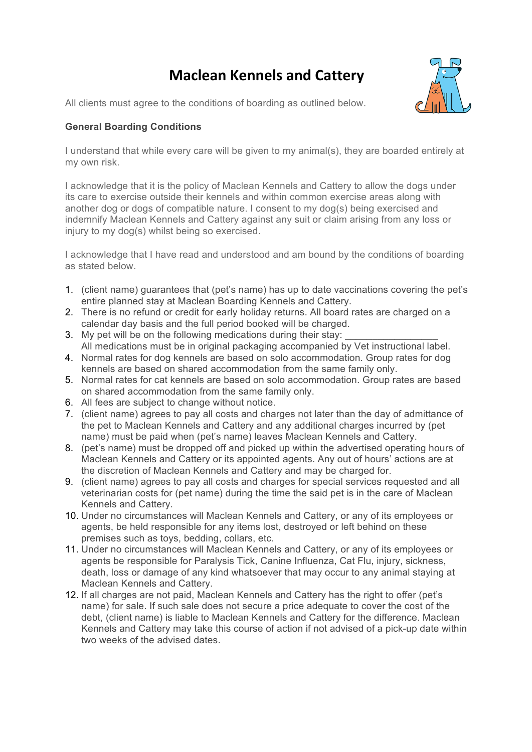## **Maclean Kennels and Cattery**



All clients must agree to the conditions of boarding as outlined below.

## **General Boarding Conditions**

I understand that while every care will be given to my animal(s), they are boarded entirely at my own risk.

I acknowledge that it is the policy of Maclean Kennels and Cattery to allow the dogs under its care to exercise outside their kennels and within common exercise areas along with another dog or dogs of compatible nature. I consent to my dog(s) being exercised and indemnify Maclean Kennels and Cattery against any suit or claim arising from any loss or injury to my dog(s) whilst being so exercised.

I acknowledge that I have read and understood and am bound by the conditions of boarding as stated below.

- 1. (client name) guarantees that (pet's name) has up to date vaccinations covering the pet's entire planned stay at Maclean Boarding Kennels and Cattery.
- 2. There is no refund or credit for early holiday returns. All board rates are charged on a calendar day basis and the full period booked will be charged.
- 3. My pet will be on the following medications during their stay: All medications must be in original packaging accompanied by Vet instructional label.
- 4. Normal rates for dog kennels are based on solo accommodation. Group rates for dog kennels are based on shared accommodation from the same family only.
- 5. Normal rates for cat kennels are based on solo accommodation. Group rates are based on shared accommodation from the same family only.
- 6. All fees are subject to change without notice.
- 7. (client name) agrees to pay all costs and charges not later than the day of admittance of the pet to Maclean Kennels and Cattery and any additional charges incurred by (pet name) must be paid when (pet's name) leaves Maclean Kennels and Cattery.
- 8. (pet's name) must be dropped off and picked up within the advertised operating hours of Maclean Kennels and Cattery or its appointed agents. Any out of hours' actions are at the discretion of Maclean Kennels and Cattery and may be charged for.
- 9. (client name) agrees to pay all costs and charges for special services requested and all veterinarian costs for (pet name) during the time the said pet is in the care of Maclean Kennels and Cattery.
- 10. Under no circumstances will Maclean Kennels and Cattery, or any of its employees or agents, be held responsible for any items lost, destroyed or left behind on these premises such as toys, bedding, collars, etc.
- 11. Under no circumstances will Maclean Kennels and Cattery, or any of its employees or agents be responsible for Paralysis Tick, Canine Influenza, Cat Flu, injury, sickness, death, loss or damage of any kind whatsoever that may occur to any animal staying at Maclean Kennels and Cattery.
- 12. If all charges are not paid, Maclean Kennels and Cattery has the right to offer (pet's name) for sale. If such sale does not secure a price adequate to cover the cost of the debt, (client name) is liable to Maclean Kennels and Cattery for the difference. Maclean Kennels and Cattery may take this course of action if not advised of a pick-up date within two weeks of the advised dates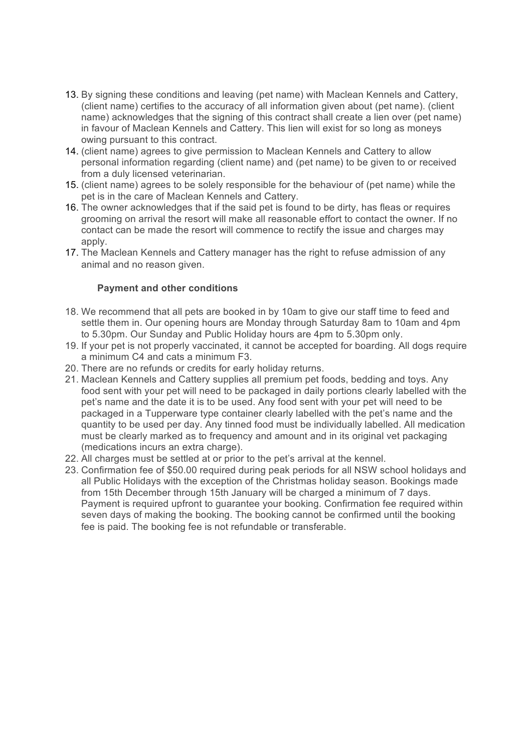- 13. By signing these conditions and leaving (pet name) with Maclean Kennels and Cattery, (client name) certifies to the accuracy of all information given about (pet name). (client name) acknowledges that the signing of this contract shall create a lien over (pet name) in favour of Maclean Kennels and Cattery. This lien will exist for so long as moneys owing pursuant to this contract.
- 14. (client name) agrees to give permission to Maclean Kennels and Cattery to allow personal information regarding (client name) and (pet name) to be given to or received from a duly licensed veterinarian.
- 15. (client name) agrees to be solely responsible for the behaviour of (pet name) while the pet is in the care of Maclean Kennels and Cattery.
- 16. The owner acknowledges that if the said pet is found to be dirty, has fleas or requires grooming on arrival the resort will make all reasonable effort to contact the owner. If no contact can be made the resort will commence to rectify the issue and charges may apply.
- 17. The Maclean Kennels and Cattery manager has the right to refuse admission of any animal and no reason given.

## **Payment and other conditions**

- 18. We recommend that all pets are booked in by 10am to give our staff time to feed and settle them in. Our opening hours are Monday through Saturday 8am to 10am and 4pm to 5.30pm. Our Sunday and Public Holiday hours are 4pm to 5.30pm only.
- 19. If your pet is not properly vaccinated, it cannot be accepted for boarding. All dogs require a minimum C4 and cats a minimum F3.
- 20. There are no refunds or credits for early holiday returns.
- 21. Maclean Kennels and Cattery supplies all premium pet foods, bedding and toys. Any food sent with your pet will need to be packaged in daily portions clearly labelled with the pet's name and the date it is to be used. Any food sent with your pet will need to be packaged in a Tupperware type container clearly labelled with the pet's name and the quantity to be used per day. Any tinned food must be individually labelled. All medication must be clearly marked as to frequency and amount and in its original vet packaging (medications incurs an extra charge).
- 22. All charges must be settled at or prior to the pet's arrival at the kennel.
- 23. Confirmation fee of \$50.00 required during peak periods for all NSW school holidays and all Public Holidays with the exception of the Christmas holiday season. Bookings made from 15th December through 15th January will be charged a minimum of 7 days. Payment is required upfront to quarantee your booking. Confirmation fee required within seven days of making the booking. The booking cannot be confirmed until the booking fee is paid. The booking fee is not refundable or transferable.